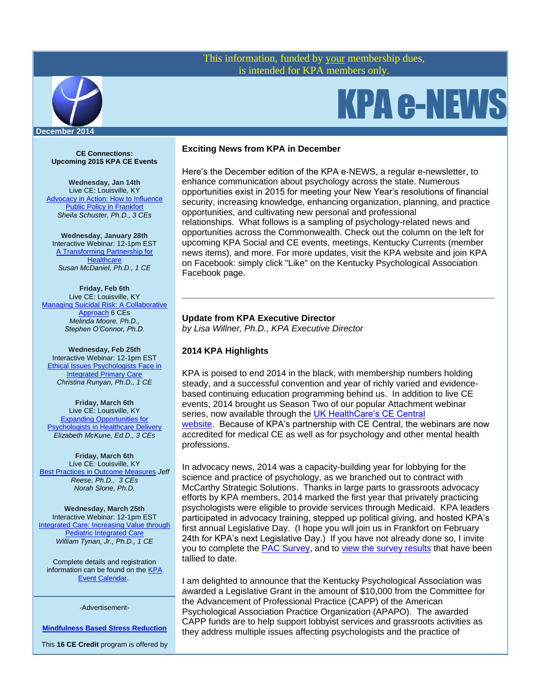# This information, funded by your membership dues, is intended for KPA members only.



# KPA e-NEWS

#### **CE Connections: Upcoming 2015 KPA CE Events**

**Wednesday, Jan 14th** Live CE: Louisville, KY [Advocacy in Action: How to Influence](http://www.kpa.org/events/event_details.asp?id=520038&group=)  **[Public Policy in Frankfort](http://www.kpa.org/events/event_details.asp?id=520038&group=)** *Sheila Schuster, Ph.D., 3 CEs*

**Wednesday, January 28th** Interactive Webinar: 12-1pm EST [A Transforming Partnership for](http://www.kpa.org/events/event_details.asp?id=532701&group=)  **[Healthcare](http://www.kpa.org/events/event_details.asp?id=532701&group=)** *Susan McDaniel, Ph.D., 1 CE*

**Friday, Feb 6th** Live CE: Louisville, KY [Managing Suicidal Risk: A Collaborative](http://www.kpa.org/events/event_details.asp?id=517414&group=)  [Approach](http://www.kpa.org/events/event_details.asp?id=517414&group=) 6 CEs *Melinda Moore, Ph.D., Stephen O'Connor, Ph.D.*

**Wednesday, Feb 25th** Interactive Webinar: 12-1pm EST [Ethical Issues Psychologists Face in](http://www.kpa.org/events/event_details.asp?id=532706&group=)  [Integrated Primary Care](http://www.kpa.org/events/event_details.asp?id=532706&group=) *Christina Runyan, Ph.D., 1 CE*

**Friday, March 6th** Live CE: Louisville, KY [Expanding Opportunities for](http://www.kpa.org/events/event_details.asp?id=532402&group=)  **[Psychologists in Healthcare Delivery](http://www.kpa.org/events/event_details.asp?id=532402&group=)** *Elizabeth McKune, Ed.D., 3 CEs*

**Friday, March 6th** Live CE: Louisville, KY [Best Practices in Outcome Measures](http://www.kpa.org/events/event_details.asp?id=532418&group=) *Jeff Reese, Ph.D., 3 CEs Norah Slone, Ph.D.*

**Wednesday, March 25th** Interactive Webinar: 12-1pm EST Integrated Care: Increasing Value through [Pediatric Integrated Care](http://www.kpa.org/events/event_details.asp?id=576319&group=) *William Tynan, Jr., Ph.D., 1 CE*

Complete details and registration information can be found on the **KPA** [Event Calendar.](http://www.kpa.org/events/event_list.asp)

-Advertisement-

**[Mindfulness Based Stress Reduction](https://kpa.site-ym.com/resource/resmgr/CE/FlyerMBSR_Nov-March2015.pdf)**

This **16 CE Credit** program is offered by

# **Exciting News from KPA in December**

Here's the December edition of the KPA e-NEWS, a regular e-newsletter, to enhance communication about psychology across the state. Numerous opportunities exist in 2015 for meeting your New Year's resolutions of financial security, increasing knowledge, enhancing organization, planning, and practice opportunities, and cultivating new personal and professional relationships. What follows is a sampling of psychology-related news and opportunities across the Commonwealth. Check out the column on the left for upcoming KPA Social and CE events, meetings, Kentucky Currents (member news items), and more. For more updates, visit the KPA website and join KPA on Facebook: simply click "Like" on the Kentucky Psychological Association Facebook page.

# **Update from KPA Executive Director**

*by Lisa Willner, Ph.D., KPA Executive Director*

# **2014 KPA Highlights**

KPA is poised to end 2014 in the black, with membership numbers holding steady, and a successful convention and year of richly varied and evidencebased continuing education programming behind us. In addition to live CE events, 2014 brought us Season Two of our popular Attachment webinar series, now available through the UK HealthCare's CE Central [website.](http://www.cecentral.com/KPA-Attachment) Because of KPA's partnership with CE Central, the webinars are now accredited for medical CE as well as for psychology and other mental health professions.

In advocacy news, 2014 was a capacity-building year for lobbying for the science and practice of psychology, as we branched out to contract with McCarthy Strategic Solutions. Thanks in large parts to grassroots advocacy efforts by KPA members, 2014 marked the first year that privately practicing psychologists were eligible to provide services through Medicaid. KPA leaders participated in advocacy training, stepped up political giving, and hosted KPA's first annual Legislative Day. (I hope you will join us in Frankfort on February 24th for KPA's next Legislative Day.) If you have not already done so, I invite you to complete the **PAC Survey**, and to [view the survey results](http://c.ymcdn.com/sites/www.kpa.org/resource/resmgr/Docs/2014-PAC.SurveyResults.pdf) that have been tallied to date.

I am delighted to announce that the Kentucky Psychological Association was awarded a Legislative Grant in the amount of \$10,000 from the Committee for the Advancement of Professional Practice (CAPP) of the American Psychological Association Practice Organization (APAPO). The awarded CAPP funds are to help support lobbyist services and grassroots activities as they address multiple issues affecting psychologists and the practice of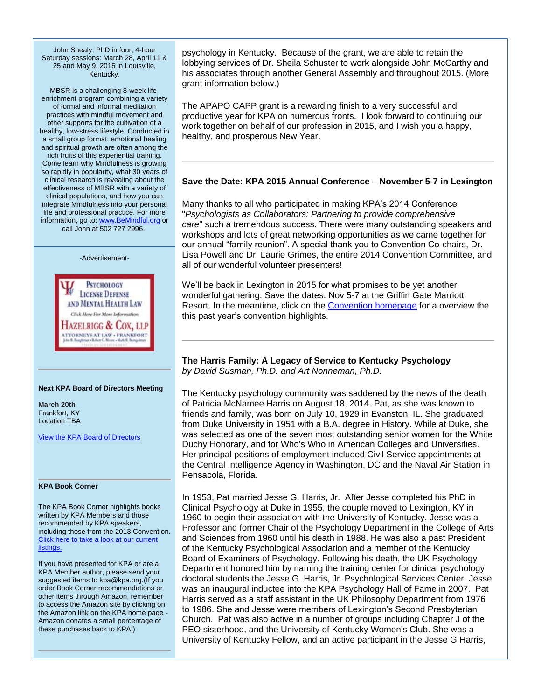John Shealy, PhD in four, 4-hour Saturday sessions: March 28, April 11 & 25 and May 9, 2015 in Louisville, Kentucky.

MBSR is a challenging 8-week lifeenrichment program combining a variety of formal and informal meditation practices with mindful movement and other supports for the cultivation of a healthy, low-stress lifestyle. Conducted in a small group format, emotional healing and spiritual growth are often among the rich fruits of this experiential training. Come learn why Mindfulness is growing so rapidly in popularity, what 30 years of clinical research is revealing about the effectiveness of MBSR with a variety of clinical populations, and how you can integrate Mindfulness into your personal life and professional practice. For more information, go to[: www.BeMindful.org](http://www.bemindful.org/) or call John at 502 727 2996.

-Advertisement-



#### **Next KPA Board of Directors Meeting**

**March 20th** Frankfort, KY Location TBA

[View the KPA Board of Directors](http://www.kpa.org/link.asp?e=dr.sean.reilley@gmail.com&job=1171413&ymlink=1933434&finalurl=http%3A%2F%2Fwww%2Ekpa%2Eorg%2F%3Fpage%3DBoardofDirectors)

#### **KPA Book Corner**

The KPA Book Corner highlights books written by KPA Members and those recommended by KPA speakers, including those from the 2013 Convention. [Click here to take a look at our current](http://www.kpa.org/link.asp?e=dr.sean.reilley@gmail.com&job=1171413&ymlink=1933434&finalurl=http%3A%2F%2Fwww%2Ekpa%2Eorg%2F%3F477)  [listings.](http://www.kpa.org/link.asp?e=dr.sean.reilley@gmail.com&job=1171413&ymlink=1933434&finalurl=http%3A%2F%2Fwww%2Ekpa%2Eorg%2F%3F477)

If you have presented for KPA or are a KPA Member author, please send your suggested items to kpa@kpa.org.(If you order Book Corner recommendations or other items through Amazon, remember to access the Amazon site by clicking on the Amazon link on the KPA home page - Amazon donates a small percentage of these purchases back to KPA!)

psychology in Kentucky. Because of the grant, we are able to retain the lobbying services of Dr. Sheila Schuster to work alongside John McCarthy and his associates through another General Assembly and throughout 2015. (More grant information below.)

The APAPO CAPP grant is a rewarding finish to a very successful and productive year for KPA on numerous fronts. I look forward to continuing our work together on behalf of our profession in 2015, and I wish you a happy, healthy, and prosperous New Year.

## **Save the Date: KPA 2015 Annual Conference – November 5-7 in Lexington**

Many thanks to all who participated in making KPA's 2014 Conference "*Psychologists as Collaborators: Partnering to provide comprehensive care*" such a tremendous success. There were many outstanding speakers and workshops and lots of great networking opportunities as we came together for our annual "family reunion". A special thank you to Convention Co-chairs, Dr. Lisa Powell and Dr. Laurie Grimes, the entire 2014 Convention Committee, and all of our wonderful volunteer presenters!

We'll be back in Lexington in 2015 for what promises to be yet another wonderful gathering. Save the dates: Nov 5-7 at the Griffin Gate Marriott Resort. In the meantime, click on the [Convention homepage](https://kpa.site-ym.com/general/custom.asp?page=2014Convention) for a overview the this past year's convention highlights.

**The Harris Family: A Legacy of Service to Kentucky Psychology** *by David Susman, Ph.D. and Art Nonneman, Ph.D.*

The Kentucky psychology community was saddened by the news of the death of Patricia McNamee Harris on August 18, 2014. Pat, as she was known to friends and family, was born on July 10, 1929 in Evanston, IL. She graduated from Duke University in 1951 with a B.A. degree in History. While at Duke, she was selected as one of the seven most outstanding senior women for the White Duchy Honorary, and for Who's Who in American Colleges and Universities. Her principal positions of employment included Civil Service appointments at the Central Intelligence Agency in Washington, DC and the Naval Air Station in Pensacola, Florida.

In 1953, Pat married Jesse G. Harris, Jr. After Jesse completed his PhD in Clinical Psychology at Duke in 1955, the couple moved to Lexington, KY in 1960 to begin their association with the University of Kentucky. Jesse was a Professor and former Chair of the Psychology Department in the College of Arts and Sciences from 1960 until his death in 1988. He was also a past President of the Kentucky Psychological Association and a member of the Kentucky Board of Examiners of Psychology. Following his death, the UK Psychology Department honored him by naming the training center for clinical psychology doctoral students the Jesse G. Harris, Jr. Psychological Services Center. Jesse was an inaugural inductee into the KPA Psychology Hall of Fame in 2007. Pat Harris served as a staff assistant in the UK Philosophy Department from 1976 to 1986. She and Jesse were members of Lexington's Second Presbyterian Church. Pat was also active in a number of groups including Chapter J of the PEO sisterhood, and the University of Kentucky Women's Club. She was a University of Kentucky Fellow, and an active participant in the Jesse G Harris,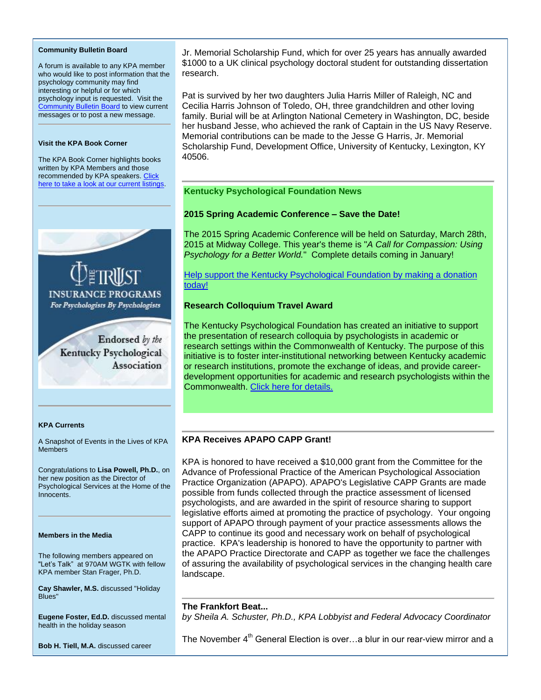## **Community Bulletin Board**

A forum is available to any KPA member who would like to post information that the psychology community may find interesting or helpful or for which psychology input is requested. Visit the **[Community Bulletin Board](http://kpa.site-ym.com/forums/) to view current** messages or to post a new message.

#### **Visit the KPA Book Corner**

The KPA Book Corner highlights books written by KPA Members and those recommended by KPA speakers. Click [here to take a look at our current listings.](http://www.kpa.org/link.asp?e=dr.sean.reilley@gmail.com&job=1171413&ymlink=1933434&finalurl=http%3A%2F%2Fwww%2Ekpa%2Eorg%2Fdisplaycommon%2Ecfm%3Fan%3D1%26subarticlenbr%3D477)



**INSURANCE PROGRAMS** For Psychologists By Psychologists

> Endorsed by the Kentucky Psychological Association

#### **KPA Currents**

A Snapshot of Events in the Lives of KPA Members

Congratulations to **Lisa Powell, Ph.D.**, on her new position as the Director of Psychological Services at the Home of the Innocents.

#### **Members in the Media**

The following members appeared on "Let's Talk" at 970AM WGTK with fellow KPA member Stan Frager, Ph.D.

**Cay Shawler, M.S.** discussed "Holiday Blues"

**Eugene Foster, Ed.D.** discussed mental health in the holiday season

**Bob H. Tiell, M.A.** discussed career

Jr. Memorial Scholarship Fund, which for over 25 years has annually awarded \$1000 to a UK clinical psychology doctoral student for outstanding dissertation research.

Pat is survived by her two daughters Julia Harris Miller of Raleigh, NC and Cecilia Harris Johnson of Toledo, OH, three grandchildren and other loving family. Burial will be at Arlington National Cemetery in Washington, DC, beside her husband Jesse, who achieved the rank of Captain in the US Navy Reserve. Memorial contributions can be made to the Jesse G Harris, Jr. Memorial Scholarship Fund, Development Office, University of Kentucky, Lexington, KY 40506.

# **Kentucky Psychological Foundation News**

# **2015 Spring Academic Conference – Save the Date!**

The 2015 Spring Academic Conference will be held on Saturday, March 28th, 2015 at Midway College. This year's theme is "*A Call for Compassion: Using Psychology for a Better World.*" Complete details coming in January!

[Help support the Kentucky Psychological Foundation by making a donation](https://kpa.site-ym.com/donations/donate.asp?id=7869)  [today!](https://kpa.site-ym.com/donations/donate.asp?id=7869)

# **Research Colloquium Travel Award**

The Kentucky Psychological Foundation has created an initiative to support the presentation of research colloquia by psychologists in academic or research settings within the Commonwealth of Kentucky. The purpose of this initiative is to foster inter-institutional networking between Kentucky academic or research institutions, promote the exchange of ideas, and provide careerdevelopment opportunities for academic and research psychologists within the Commonwealth. [Click here for details.](https://kpa.site-ym.com/?638)

# **KPA Receives APAPO CAPP Grant!**

KPA is honored to have received a \$10,000 grant from the Committee for the Advance of Professional Practice of the American Psychological Association Practice Organization (APAPO). APAPO's Legislative CAPP Grants are made possible from funds collected through the practice assessment of licensed psychologists, and are awarded in the spirit of resource sharing to support legislative efforts aimed at promoting the practice of psychology. Your ongoing support of APAPO through payment of your practice assessments allows the CAPP to continue its good and necessary work on behalf of psychological practice. KPA's leadership is honored to have the opportunity to partner with the APAPO Practice Directorate and CAPP as together we face the challenges of assuring the availability of psychological services in the changing health care landscape.

# **The Frankfort Beat...**

*by Sheila A. Schuster, Ph.D., KPA Lobbyist and Federal Advocacy Coordinator*

The November  $4<sup>th</sup>$  General Election is over...a blur in our rear-view mirror and a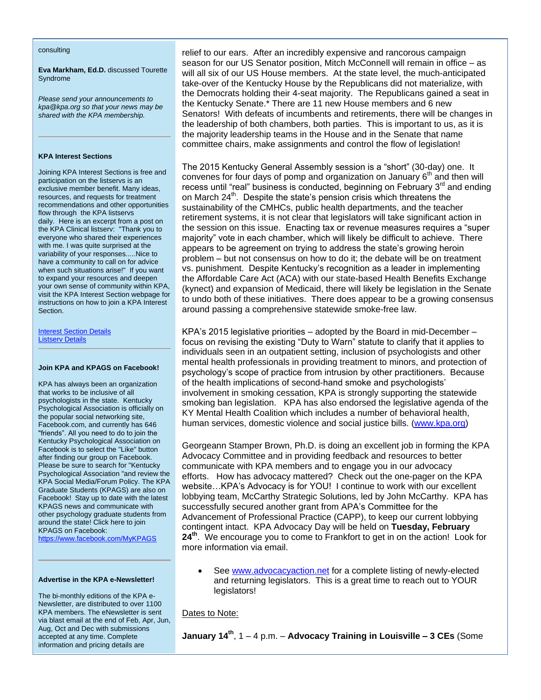#### consulting

**Eva Markham, Ed.D.** discussed Tourette Syndrome

*Please send your announcements to kpa@kpa.org so that your news may be shared with the KPA membership.* 

#### **KPA Interest Sections**

Joining KPA Interest Sections is free and participation on the listservs is an exclusive member benefit. Many ideas, resources, and requests for treatment recommendations and other opportunities flow through the KPA listservs daily. Here is an excerpt from a post on the KPA Clinical listserv: "Thank you to everyone who shared their experiences with me. I was quite surprised at the variability of your responses.....Nice to have a community to call on for advice when such situations arise!" If you want to expand your resources and deepen your own sense of community within KPA, visit the KPA Interest Section webpage for instructions on how to join a KPA Interest **Section** 

**Interest Section Details [Listserv Details](http://www.kpa.org/?page=ListservTransition)** 

#### **Join KPA and KPAGS on Facebook!**

KPA has always been an organization that works to be inclusive of all psychologists in the state. Kentucky Psychological Association is officially on the popular social networking site, Facebook.com, and currently has 646 "friends". All you need to do to join the Kentucky Psychological Association on Facebook is to select the "Like" button after finding our group on Facebook. Please be sure to search for "Kentucky Psychological Association "and review the KPA Social Media/Forum Policy. The KPA Graduate Students (KPAGS) are also on Facebook! Stay up to date with the latest KPAGS news and communicate with other psychology graduate students from around the state! Click here to join KPAGS on Facebook:

<https://www.facebook.com/MyKPAGS>

#### **Advertise in the KPA e-Newsletter!**

The bi-monthly editions of the KPA e-Newsletter, are distributed to over 1100 KPA members. The eNewsletter is sent via blast email at the end of Feb, Apr, Jun, Aug, Oct and Dec with submissions accepted at any time. Complete information and pricing details are

relief to our ears. After an incredibly expensive and rancorous campaign season for our US Senator position, Mitch McConnell will remain in office – as will all six of our US House members. At the state level, the much-anticipated take-over of the Kentucky House by the Republicans did not materialize, with the Democrats holding their 4-seat majority. The Republicans gained a seat in the Kentucky Senate.\* There are 11 new House members and 6 new Senators! With defeats of incumbents and retirements, there will be changes in the leadership of both chambers, both parties. This is important to us, as it is the majority leadership teams in the House and in the Senate that name committee chairs, make assignments and control the flow of legislation!

The 2015 Kentucky General Assembly session is a "short" (30-day) one. It convenes for four days of pomp and organization on January  $6<sup>th</sup>$  and then will recess until "real" business is conducted, beginning on February  $3<sup>rd</sup>$  and ending on March  $24<sup>th</sup>$ . Despite the state's pension crisis which threatens the sustainability of the CMHCs, public health departments, and the teacher retirement systems, it is not clear that legislators will take significant action in the session on this issue. Enacting tax or revenue measures requires a "super majority" vote in each chamber, which will likely be difficult to achieve. There appears to be agreement on trying to address the state's growing heroin problem – but not consensus on how to do it; the debate will be on treatment vs. punishment. Despite Kentucky's recognition as a leader in implementing the Affordable Care Act (ACA) with our state-based Health Benefits Exchange (kynect) and expansion of Medicaid, there will likely be legislation in the Senate to undo both of these initiatives. There does appear to be a growing consensus around passing a comprehensive statewide smoke-free law.

KPA's 2015 legislative priorities – adopted by the Board in mid-December – focus on revising the existing "Duty to Warn" statute to clarify that it applies to individuals seen in an outpatient setting, inclusion of psychologists and other mental health professionals in providing treatment to minors, and protection of psychology's scope of practice from intrusion by other practitioners. Because of the health implications of second-hand smoke and psychologists' involvement in smoking cessation, KPA is strongly supporting the statewide smoking ban legislation. KPA has also endorsed the legislative agenda of the KY Mental Health Coalition which includes a number of behavioral health, human services, domestic violence and social justice bills. [\(www.kpa.org\)](http://www.kpa.org/)

Georgeann Stamper Brown, Ph.D. is doing an excellent job in forming the KPA Advocacy Committee and in providing feedback and resources to better communicate with KPA members and to engage you in our advocacy efforts. How has advocacy mattered? Check out the one-pager on the KPA website…KPA's Advocacy is for YOU! I continue to work with our excellent lobbying team, McCarthy Strategic Solutions, led by John McCarthy. KPA has successfully secured another grant from APA's Committee for the Advancement of Professional Practice (CAPP), to keep our current lobbying contingent intact. KPA Advocacy Day will be held on **Tuesday, February 24th** . We encourage you to come to Frankfort to get in on the action! Look for more information via email.

 Se[e www.advocacyaction.net](http://www.advocacyaction.net/) for a complete listing of newly-elected and returning legislators. This is a great time to reach out to YOUR legislators!

#### Dates to Note:

**January 14th**, 1 – 4 p.m. – **Advocacy Training in Louisville – 3 CEs** (Some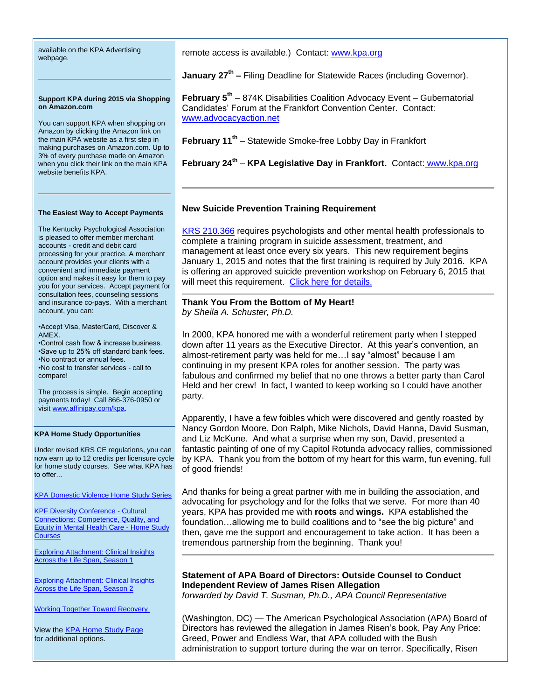available on the KPA Advertising webpage.

#### **Support KPA during 2015 via Shopping on Amazon.com**

You can support KPA when shopping on Amazon by clicking the Amazon link on the main KPA website as a first step in making purchases on Amazon.com. Up to 3% of every purchase made on Amazon when you click their link on the main KPA website benefits KPA.

**New Suicide Prevention Training Requirement**

The Kentucky Psychological Association is pleased to offer member merchant accounts - credit and debit card processing for your practice. A merchant account provides your clients with a convenient and immediate payment option and makes it easy for them to pay you for your services. Accept payment for consultation fees, counseling sessions and insurance co-pays. With a merchant account, you can:

**The Easiest Way to Accept Payments**

•Accept Visa, MasterCard, Discover & AMEX.

•Control cash flow & increase business. •Save up to 25% off standard bank fees. •No contract or annual fees. •No cost to transfer services - call to compare!

The process is simple. Begin accepting payments today! Call 866-376-0950 or visi[t www.affinipay.com/kpa.](http://www.affinipay.com/kpa)

## **KPA Home Study Opportunities**

Under revised KRS CE regulations, you can now earn up to 12 credits per licensure cycle for home study courses. See what KPA has to offer...

[KPA Domestic Violence Home Study Series](http://www.kpa.org/displaycommon.cfm?an=1&subarticlenbr=505)

[KPF Diversity Conference -](http://www.kpa.org/displaycommon.cfm?an=1&subarticlenbr=606) Cultural [Connections: Competence, Quality, and](http://www.kpa.org/displaycommon.cfm?an=1&subarticlenbr=606)  [Equity in Mental Health Care -](http://www.kpa.org/displaycommon.cfm?an=1&subarticlenbr=606) Home Study **[Courses](http://www.kpa.org/displaycommon.cfm?an=1&subarticlenbr=606)** 

**Exploring Attachment: Clinical Insights** [Across the Life Span, Season 1](http://www.kpa.org/?page=688)

[Exploring Attachment: Clinical Insights](https://kpa.site-ym.com/?Attachment_S2)  [Across the Life Span, Season 2](https://kpa.site-ym.com/?Attachment_S2)

[Working Together Toward Recovery](http://www.kpa.org/displaycommon.cfm?an=1&subarticlenbr=633)

View the [KPA Home Study Page](http://www.kpa.org/link.asp?e=dr.sean.reilley@gmail.com&job=1171413&ymlink=1933434&finalurl=http%3A%2F%2Fkpa%2Eorg%2Fdisplaycommon%2Ecfm%3Fan%3D1%26subarticlenbr%3D15) for additional options.

# [KRS 210.366](http://c.ymcdn.com/sites/www.kpa.org/resource/resmgr/CE/Suicide_Prevention_Training_.pdf) requires psychologists and other mental health professionals to complete a training program in suicide assessment, treatment, and management at least once every six years. This new requirement begins January 1, 2015 and notes that the first training is required by July 2016. KPA is offering an approved suicide prevention workshop on February 6, 2015 that will meet this requirement. [Click here for details.](http://www.kpa.org/events/event_details.asp?id=517414)

# **Thank You From the Bottom of My Heart!**  *by Sheila A. Schuster, Ph.D.*

In 2000, KPA honored me with a wonderful retirement party when I stepped down after 11 years as the Executive Director. At this year's convention, an almost-retirement party was held for me…I say "almost" because I am continuing in my present KPA roles for another session. The party was fabulous and confirmed my belief that no one throws a better party than Carol Held and her crew! In fact, I wanted to keep working so I could have another party.

Apparently, I have a few foibles which were discovered and gently roasted by Nancy Gordon Moore, Don Ralph, Mike Nichols, David Hanna, David Susman, and Liz McKune. And what a surprise when my son, David, presented a fantastic painting of one of my Capitol Rotunda advocacy rallies, commissioned by KPA. Thank you from the bottom of my heart for this warm, fun evening, full of good friends!

And thanks for being a great partner with me in building the association, and advocating for psychology and for the folks that we serve. For more than 40 years, KPA has provided me with **roots** and **wings.** KPA established the foundation…allowing me to build coalitions and to "see the big picture" and then, gave me the support and encouragement to take action. It has been a tremendous partnership from the beginning. Thank you!

**Statement of APA Board of Directors: Outside Counsel to Conduct Independent Review of James Risen Allegation**  *forwarded by David T. Susman, Ph.D., APA Council Representative*

(Washington, DC) — The American Psychological Association (APA) Board of Directors has reviewed the allegation in James Risen's book, Pay Any Price: Greed, Power and Endless War, that APA colluded with the Bush administration to support torture during the war on terror. Specifically, Risen

remote access is available.) Contact: [www.kpa.org](http://www.kpa.org/)

**January 27th –** Filing Deadline for Statewide Races (including Governor).

**February 5th** – 874K Disabilities Coalition Advocacy Event – Gubernatorial Candidates' Forum at the Frankfort Convention Center. Contact: [www.advocacyaction.net](http://www.advocacyaction.net/)

**February 11th** – Statewide Smoke-free Lobby Day in Frankfort

**February 24th** – **KPA Legislative Day in Frankfort.** Contact: [www.kpa.org](http://www.kpa.org/)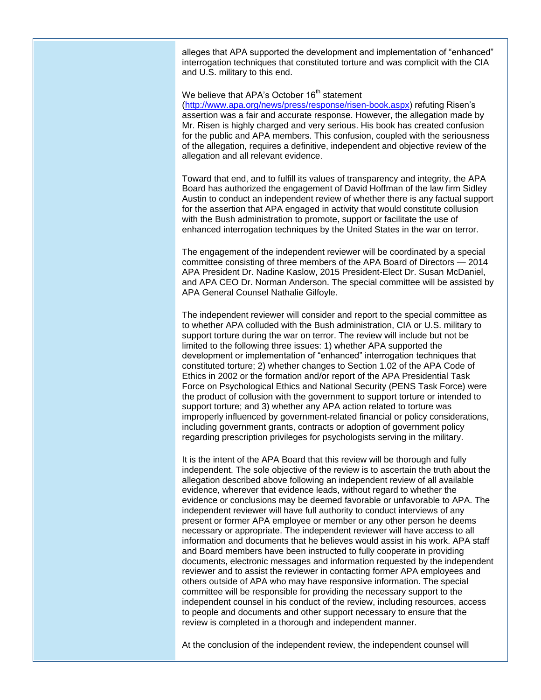alleges that APA supported the development and implementation of "enhanced" interrogation techniques that constituted torture and was complicit with the CIA and U.S. military to this end.

# We believe that APA's October 16<sup>th</sup> statement

[\(http://www.apa.org/news/press/response/risen-book.aspx\)](http://www.apa.org/news/press/response/risen-book.aspx) refuting Risen's assertion was a fair and accurate response. However, the allegation made by Mr. Risen is highly charged and very serious. His book has created confusion for the public and APA members. This confusion, coupled with the seriousness of the allegation, requires a definitive, independent and objective review of the allegation and all relevant evidence.

Toward that end, and to fulfill its values of transparency and integrity, the APA Board has authorized the engagement of David Hoffman of the law firm Sidley Austin to conduct an independent review of whether there is any factual support for the assertion that APA engaged in activity that would constitute collusion with the Bush administration to promote, support or facilitate the use of enhanced interrogation techniques by the United States in the war on terror.

The engagement of the independent reviewer will be coordinated by a special committee consisting of three members of the APA Board of Directors — 2014 APA President Dr. Nadine Kaslow, 2015 President-Elect Dr. Susan McDaniel, and APA CEO Dr. Norman Anderson. The special committee will be assisted by APA General Counsel Nathalie Gilfoyle.

The independent reviewer will consider and report to the special committee as to whether APA colluded with the Bush administration, CIA or U.S. military to support torture during the war on terror. The review will include but not be limited to the following three issues: 1) whether APA supported the development or implementation of "enhanced" interrogation techniques that constituted torture; 2) whether changes to Section 1.02 of the APA Code of Ethics in 2002 or the formation and/or report of the APA Presidential Task Force on Psychological Ethics and National Security (PENS Task Force) were the product of collusion with the government to support torture or intended to support torture; and 3) whether any APA action related to torture was improperly influenced by government-related financial or policy considerations, including government grants, contracts or adoption of government policy regarding prescription privileges for psychologists serving in the military.

It is the intent of the APA Board that this review will be thorough and fully independent. The sole objective of the review is to ascertain the truth about the allegation described above following an independent review of all available evidence, wherever that evidence leads, without regard to whether the evidence or conclusions may be deemed favorable or unfavorable to APA. The independent reviewer will have full authority to conduct interviews of any present or former APA employee or member or any other person he deems necessary or appropriate. The independent reviewer will have access to all information and documents that he believes would assist in his work. APA staff and Board members have been instructed to fully cooperate in providing documents, electronic messages and information requested by the independent reviewer and to assist the reviewer in contacting former APA employees and others outside of APA who may have responsive information. The special committee will be responsible for providing the necessary support to the independent counsel in his conduct of the review, including resources, access to people and documents and other support necessary to ensure that the review is completed in a thorough and independent manner.

At the conclusion of the independent review, the independent counsel will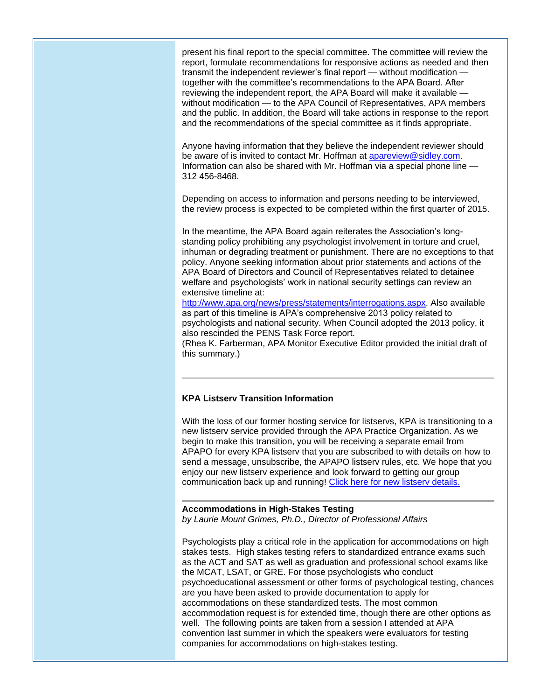present his final report to the special committee. The committee will review the report, formulate recommendations for responsive actions as needed and then transmit the independent reviewer's final report — without modification together with the committee's recommendations to the APA Board. After reviewing the independent report, the APA Board will make it available without modification — to the APA Council of Representatives, APA members and the public. In addition, the Board will take actions in response to the report and the recommendations of the special committee as it finds appropriate.

Anyone having information that they believe the independent reviewer should be aware of is invited to contact Mr. Hoffman at [apareview@sidley.com.](mailto:apareview@sidley.com) Information can also be shared with Mr. Hoffman via a special phone line -312 456-8468.

Depending on access to information and persons needing to be interviewed, the review process is expected to be completed within the first quarter of 2015.

In the meantime, the APA Board again reiterates the Association's longstanding policy prohibiting any psychologist involvement in torture and cruel, inhuman or degrading treatment or punishment. There are no exceptions to that policy. Anyone seeking information about prior statements and actions of the APA Board of Directors and Council of Representatives related to detainee welfare and psychologists' work in national security settings can review an extensive timeline at:

[http://www.apa.org/news/press/statements/interrogations.aspx.](http://www.apa.org/news/press/statements/interrogations.aspx) Also available as part of this timeline is APA's comprehensive 2013 policy related to psychologists and national security. When Council adopted the 2013 policy, it also rescinded the PENS Task Force report.

(Rhea K. Farberman, APA Monitor Executive Editor provided the initial draft of this summary.)

# **KPA Listserv Transition Information**

With the loss of our former hosting service for listservs, KPA is transitioning to a new listserv service provided through the APA Practice Organization. As we begin to make this transition, you will be receiving a separate email from APAPO for every KPA listserv that you are subscribed to with details on how to send a message, unsubscribe, the APAPO listserv rules, etc. We hope that you enjoy our new listserv experience and look forward to getting our group communication back up and running! Click here for new listsery details.

**Accommodations in High-Stakes Testing** *by Laurie Mount Grimes, Ph.D., Director of Professional Affairs*

Psychologists play a critical role in the application for accommodations on high stakes tests. High stakes testing refers to standardized entrance exams such as the ACT and SAT as well as graduation and professional school exams like the MCAT, LSAT, or GRE. For those psychologists who conduct psychoeducational assessment or other forms of psychological testing, chances are you have been asked to provide documentation to apply for accommodations on these standardized tests. The most common accommodation request is for extended time, though there are other options as well. The following points are taken from a session I attended at APA convention last summer in which the speakers were evaluators for testing companies for accommodations on high-stakes testing.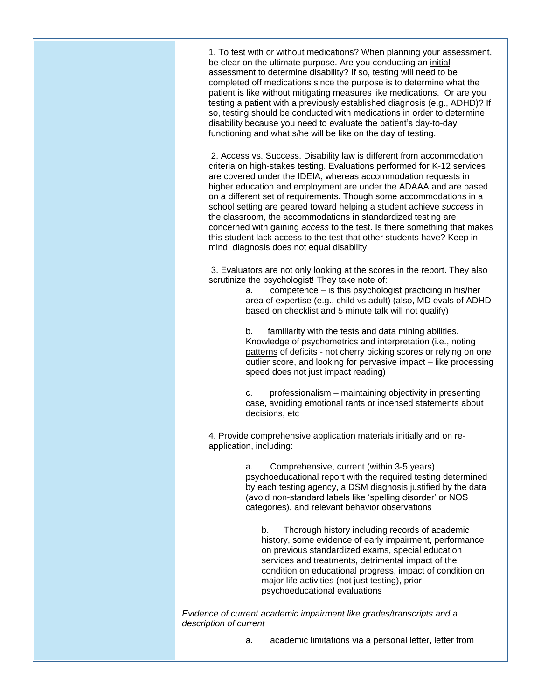1. To test with or without medications? When planning your assessment, be clear on the ultimate purpose. Are you conducting an initial assessment to determine disability? If so, testing will need to be completed off medications since the purpose is to determine what the patient is like without mitigating measures like medications. Or are you testing a patient with a previously established diagnosis (e.g., ADHD)? If so, testing should be conducted with medications in order to determine disability because you need to evaluate the patient's day-to-day functioning and what s/he will be like on the day of testing.

2. Access vs. Success. Disability law is different from accommodation criteria on high-stakes testing. Evaluations performed for K-12 services are covered under the IDEIA, whereas accommodation requests in higher education and employment are under the ADAAA and are based on a different set of requirements. Though some accommodations in a school setting are geared toward helping a student achieve *success* in the classroom, the accommodations in standardized testing are concerned with gaining *access* to the test. Is there something that makes this student lack access to the test that other students have? Keep in mind: diagnosis does not equal disability.

3. Evaluators are not only looking at the scores in the report. They also scrutinize the psychologist! They take note of:

> a. competence – is this psychologist practicing in his/her area of expertise (e.g., child vs adult) (also, MD evals of ADHD based on checklist and 5 minute talk will not qualify)

b. familiarity with the tests and data mining abilities. Knowledge of psychometrics and interpretation (i.e., noting patterns of deficits - not cherry picking scores or relying on one outlier score, and looking for pervasive impact – like processing speed does not just impact reading)

c. professionalism – maintaining objectivity in presenting case, avoiding emotional rants or incensed statements about decisions, etc

4. Provide comprehensive application materials initially and on reapplication, including:

> a. Comprehensive, current (within 3-5 years) psychoeducational report with the required testing determined by each testing agency, a DSM diagnosis justified by the data (avoid non-standard labels like 'spelling disorder' or NOS categories), and relevant behavior observations

b. Thorough history including records of academic history, some evidence of early impairment, performance on previous standardized exams, special education services and treatments, detrimental impact of the condition on educational progress, impact of condition on major life activities (not just testing), prior psychoeducational evaluations

*Evidence of current academic impairment like grades/transcripts and a description of current* 

a. academic limitations via a personal letter, letter from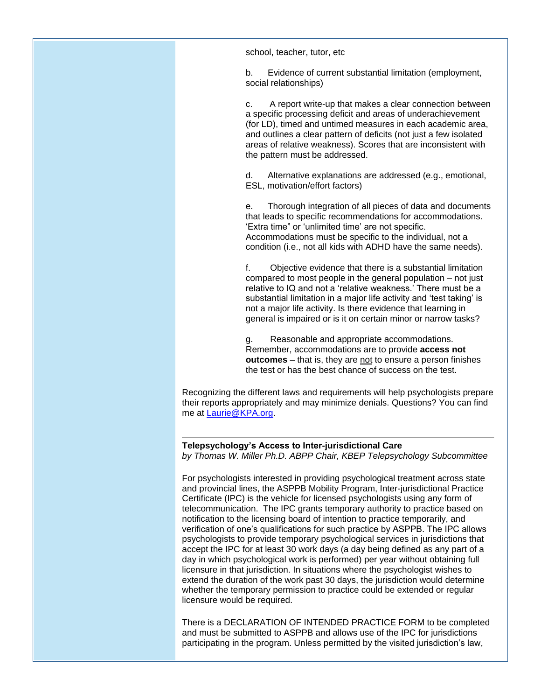school, teacher, tutor, etc

b. Evidence of current substantial limitation (employment, social relationships)

c. A report write-up that makes a clear connection between a specific processing deficit and areas of underachievement (for LD), timed and untimed measures in each academic area, and outlines a clear pattern of deficits (not just a few isolated areas of relative weakness). Scores that are inconsistent with the pattern must be addressed.

d. Alternative explanations are addressed (e.g., emotional, ESL, motivation/effort factors)

e. Thorough integration of all pieces of data and documents that leads to specific recommendations for accommodations. 'Extra time" or 'unlimited time' are not specific. Accommodations must be specific to the individual, not a condition (i.e., not all kids with ADHD have the same needs).

f. Objective evidence that there is a substantial limitation compared to most people in the general population – not just relative to IQ and not a 'relative weakness.' There must be a substantial limitation in a major life activity and 'test taking' is not a major life activity. Is there evidence that learning in general is impaired or is it on certain minor or narrow tasks?

g. Reasonable and appropriate accommodations. Remember, accommodations are to provide **access not outcomes** – that is, they are not to ensure a person finishes the test or has the best chance of success on the test.

Recognizing the different laws and requirements will help psychologists prepare their reports appropriately and may minimize denials. Questions? You can find me at [Laurie@KPA.org.](mailto:Laurie@KPA.org)

# **Telepsychology's Access to Inter-jurisdictional Care**

*by Thomas W. Miller Ph.D. ABPP Chair, KBEP Telepsychology Subcommittee*

For psychologists interested in providing psychological treatment across state and provincial lines, the ASPPB Mobility Program, Inter-jurisdictional Practice Certificate (IPC) is the vehicle for licensed psychologists using any form of telecommunication. The IPC grants temporary authority to practice based on notification to the licensing board of intention to practice temporarily, and verification of one's qualifications for such practice by ASPPB. The IPC allows psychologists to provide temporary psychological services in jurisdictions that accept the IPC for at least 30 work days (a day being defined as any part of a day in which psychological work is performed) per year without obtaining full licensure in that jurisdiction. In situations where the psychologist wishes to extend the duration of the work past 30 days, the jurisdiction would determine whether the temporary permission to practice could be extended or regular licensure would be required.

There is a DECLARATION OF INTENDED PRACTICE FORM to be completed and must be submitted to ASPPB and allows use of the IPC for jurisdictions participating in the program. Unless permitted by the visited jurisdiction's law,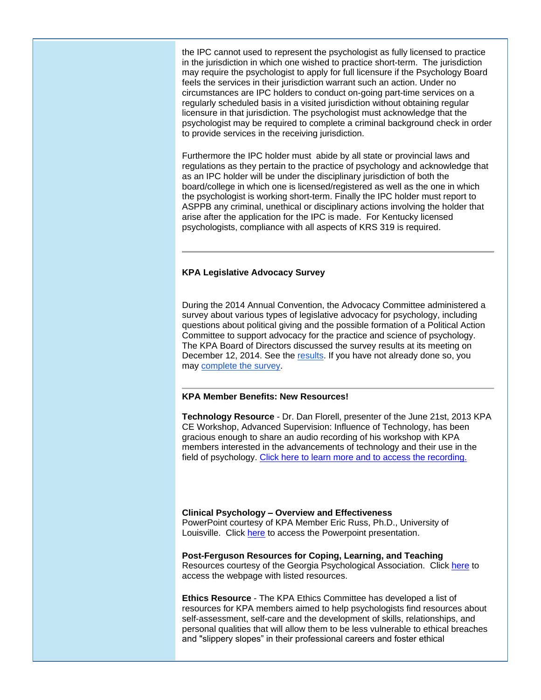the IPC cannot used to represent the psychologist as fully licensed to practice in the jurisdiction in which one wished to practice short-term. The jurisdiction may require the psychologist to apply for full licensure if the Psychology Board feels the services in their jurisdiction warrant such an action. Under no circumstances are IPC holders to conduct on-going part-time services on a regularly scheduled basis in a visited jurisdiction without obtaining regular licensure in that jurisdiction. The psychologist must acknowledge that the psychologist may be required to complete a criminal background check in order to provide services in the receiving jurisdiction.

Furthermore the IPC holder must abide by all state or provincial laws and regulations as they pertain to the practice of psychology and acknowledge that as an IPC holder will be under the disciplinary jurisdiction of both the board/college in which one is licensed/registered as well as the one in which the psychologist is working short-term. Finally the IPC holder must report to ASPPB any criminal, unethical or disciplinary actions involving the holder that arise after the application for the IPC is made. For Kentucky licensed psychologists, compliance with all aspects of KRS 319 is required.

# **KPA Legislative Advocacy Survey**

During the 2014 Annual Convention, the Advocacy Committee administered a survey about various types of legislative advocacy for psychology, including questions about political giving and the possible formation of a Political Action Committee to support advocacy for the practice and science of psychology. The KPA Board of Directors discussed the survey results at its meeting on December 12, 2014. See the [results.](http://c.ymcdn.com/sites/www.kpa.org/resource/resmgr/Docs/2014-PAC.SurveyResults.pdf) If you have not already done so, you may [complete the survey.](http://www.kpa.org/surveys/?id=2014-PAC_Survey)

## **KPA Member Benefits: New Resources!**

**Technology Resource** - Dr. Dan Florell, presenter of the June 21st, 2013 KPA CE Workshop, Advanced Supervision: Influence of Technology, has been gracious enough to share an audio recording of his workshop with KPA members interested in the advancements of technology and their use in the field of psychology. [Click here to learn more and to access the recording.](http://www.kpa.org/link.asp?e=dr.sean.reilley@gmail.com&job=1171413&ymlink=1933434&finalurl=http%3A%2F%2Fwww%2Ekpa%2Eorg%2Fgeneral%2Fcustom%2Easp%3Fpage%3D666)

**Clinical Psychology – Overview and Effectiveness** PowerPoint courtesy of KPA Member Eric Russ, Ph.D., University of Louisville. Click [here](https://docs.google.com/file/d/0ByIthzAH6E-iZ0RidTh0OEVfTkU/edit) to access the Powerpoint presentation.

# **Post-Ferguson Resources for Coping, Learning, and Teaching** Resources courtesy of the Georgia Psychological Association. Click [here](https://gapsychology.site-ym.com/?postferguson) to access the webpage with listed resources.

**Ethics Resource** - The KPA Ethics Committee has developed a list of resources for KPA members aimed to help psychologists find resources about self-assessment, self-care and the development of skills, relationships, and personal qualities that will allow them to be less vulnerable to ethical breaches and "slippery slopes" in their professional careers and foster ethical